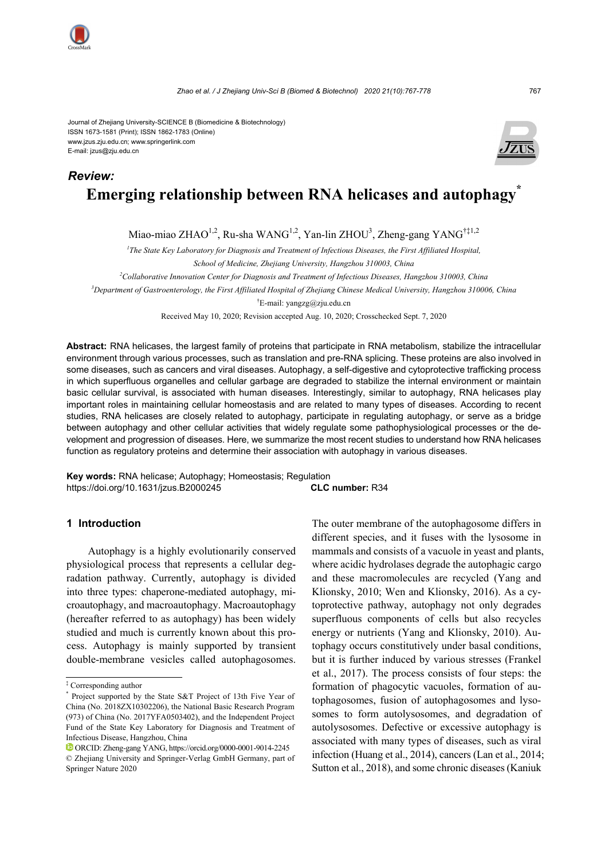

*Review:* 

Journal of Zhejiang University-SCIENCE B (Biomedicine & Biotechnology) ISSN 1673-1581 (Print); ISSN 1862-1783 (Online) www.jzus.zju.edu.cn; www.springerlink.com E-mail: jzus@zju.edu.cn



# **Emerging relationship between RNA helicases and autophagy\***

Miao-miao ZHAO<sup>1,2</sup>, Ru-sha WANG<sup>1,2</sup>, Yan-lin ZHOU<sup>3</sup>, Zheng-gang YANG<sup>†‡1,2</sup>

<sup>1</sup>The State Key Laboratory for Diagnosis and Treatment of Infectious Diseases, the First Affiliated Hospital, *School of Medicine, Zhejiang University, Hangzhou 310003, China* 

*2 Collaborative Innovation Center for Diagnosis and Treatment of Infectious Diseases, Hangzhou 310003, China* 

*3 Department of Gastroenterology, the First Affiliated Hospital of Zhejiang Chinese Medical University, Hangzhou 310006, China* 

† E-mail: yangzg@zju.edu.cn

Received May 10, 2020; Revision accepted Aug. 10, 2020; Crosschecked Sept. 7, 2020

**Abstract:** RNA helicases, the largest family of proteins that participate in RNA metabolism, stabilize the intracellular environment through various processes, such as translation and pre-RNA splicing. These proteins are also involved in some diseases, such as cancers and viral diseases. Autophagy, a self-digestive and cytoprotective trafficking process in which superfluous organelles and cellular garbage are degraded to stabilize the internal environment or maintain basic cellular survival, is associated with human diseases. Interestingly, similar to autophagy, RNA helicases play important roles in maintaining cellular homeostasis and are related to many types of diseases. According to recent studies, RNA helicases are closely related to autophagy, participate in regulating autophagy, or serve as a bridge between autophagy and other cellular activities that widely regulate some pathophysiological processes or the development and progression of diseases. Here, we summarize the most recent studies to understand how RNA helicases function as regulatory proteins and determine their association with autophagy in various diseases.

**Key words:** RNA helicase; Autophagy; Homeostasis; Regulation https://doi.org/10.1631/jzus.B2000245 **CLC number:** R34

#### **1 Introduction**

Autophagy is a highly evolutionarily conserved physiological process that represents a cellular degradation pathway. Currently, autophagy is divided into three types: chaperone-mediated autophagy, microautophagy, and macroautophagy. Macroautophagy (hereafter referred to as autophagy) has been widely studied and much is currently known about this process. Autophagy is mainly supported by transient double-membrane vesicles called autophagosomes.

The outer membrane of the autophagosome differs in different species, and it fuses with the lysosome in mammals and consists of a vacuole in yeast and plants, where acidic hydrolases degrade the autophagic cargo and these macromolecules are recycled (Yang and Klionsky, 2010; Wen and Klionsky, 2016). As a cytoprotective pathway, autophagy not only degrades superfluous components of cells but also recycles energy or nutrients (Yang and Klionsky, 2010). Autophagy occurs constitutively under basal conditions, but it is further induced by various stresses (Frankel et al., 2017). The process consists of four steps: the formation of phagocytic vacuoles, formation of autophagosomes, fusion of autophagosomes and lysosomes to form autolysosomes, and degradation of autolysosomes. Defective or excessive autophagy is associated with many types of diseases, such as viral infection (Huang et al., 2014), cancers (Lan et al., 2014; Sutton et al., 2018), and some chronic diseases (Kaniuk

<sup>‡</sup> Corresponding author

<sup>\*</sup> Project supported by the State S&T Project of 13th Five Year of China (No. 2018ZX10302206), the National Basic Research Program (973) of China (No. 2017YFA0503402), and the Independent Project Fund of the State Key Laboratory for Diagnosis and Treatment of Infectious Disease, Hangzhou, China

ORCID: Zheng-gang YANG, https://orcid.org/0000-0001-9014-2245 © Zhejiang University and Springer-Verlag GmbH Germany, part of Springer Nature 2020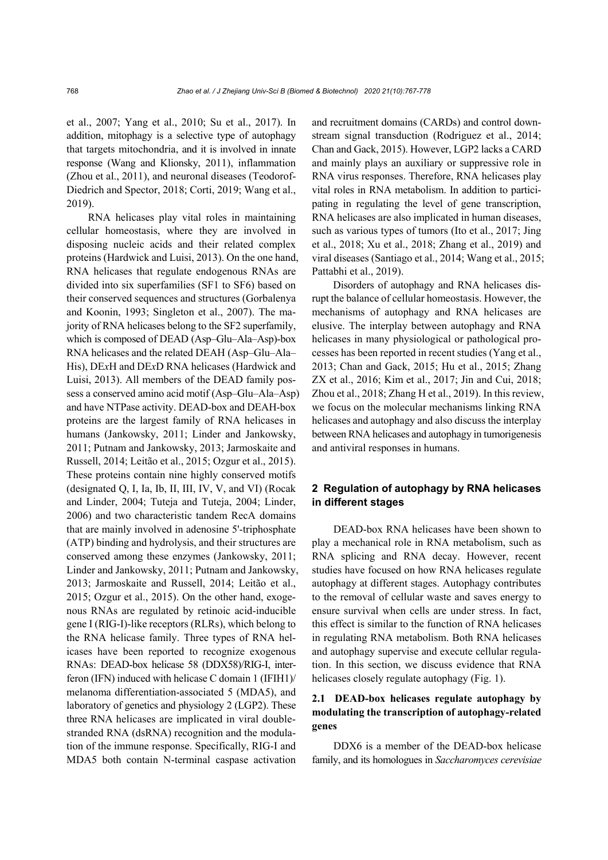et al., 2007; Yang et al., 2010; Su et al., 2017). In addition, mitophagy is a selective type of autophagy that targets mitochondria, and it is involved in innate response (Wang and Klionsky, 2011), inflammation (Zhou et al., 2011), and neuronal diseases (Teodorof-Diedrich and Spector, 2018; Corti, 2019; Wang et al., 2019).

RNA helicases play vital roles in maintaining cellular homeostasis, where they are involved in disposing nucleic acids and their related complex proteins (Hardwick and Luisi, 2013). On the one hand, RNA helicases that regulate endogenous RNAs are divided into six superfamilies (SF1 to SF6) based on their conserved sequences and structures (Gorbalenya and Koonin, 1993; Singleton et al., 2007). The majority of RNA helicases belong to the SF2 superfamily, which is composed of DEAD (Asp–Glu–Ala–Asp)-box RNA helicases and the related DEAH (Asp–Glu–Ala– His), DE*x*H and DE*x*D RNA helicases (Hardwick and Luisi, 2013). All members of the DEAD family possess a conserved amino acid motif (Asp–Glu–Ala–Asp) and have NTPase activity. DEAD-box and DEAH-box proteins are the largest family of RNA helicases in humans (Jankowsky, 2011; Linder and Jankowsky, 2011; Putnam and Jankowsky, 2013; Jarmoskaite and Russell, 2014; Leitão et al., 2015; Ozgur et al., 2015). These proteins contain nine highly conserved motifs (designated Q, I, Ia, Ib, II, III, IV, V, and VI) (Rocak and Linder, 2004; Tuteja and Tuteja, 2004; Linder, 2006) and two characteristic tandem RecA domains that are mainly involved in adenosine 5'-triphosphate (ATP) binding and hydrolysis, and their structures are conserved among these enzymes (Jankowsky, 2011; Linder and Jankowsky, 2011; Putnam and Jankowsky, 2013; Jarmoskaite and Russell, 2014; Leitão et al., 2015; Ozgur et al., 2015). On the other hand, exogenous RNAs are regulated by retinoic acid-inducible gene I (RIG-I)-like receptors (RLRs), which belong to the RNA helicase family. Three types of RNA helicases have been reported to recognize exogenous RNAs: DEAD-box helicase 58 (DDX58)/RIG-I, interferon (IFN) induced with helicase C domain 1 (IFIH1)/ melanoma differentiation-associated 5 (MDA5), and laboratory of genetics and physiology 2 (LGP2). These three RNA helicases are implicated in viral doublestranded RNA (dsRNA) recognition and the modulation of the immune response. Specifically, RIG-I and MDA5 both contain N-terminal caspase activation

and recruitment domains (CARDs) and control downstream signal transduction (Rodriguez et al., 2014; Chan and Gack, 2015). However, LGP2 lacks a CARD and mainly plays an auxiliary or suppressive role in RNA virus responses. Therefore, RNA helicases play vital roles in RNA metabolism. In addition to participating in regulating the level of gene transcription, RNA helicases are also implicated in human diseases, such as various types of tumors (Ito et al., 2017; Jing et al., 2018; Xu et al., 2018; Zhang et al., 2019) and viral diseases (Santiago et al., 2014; Wang et al., 2015; Pattabhi et al., 2019).

Disorders of autophagy and RNA helicases disrupt the balance of cellular homeostasis. However, the mechanisms of autophagy and RNA helicases are elusive. The interplay between autophagy and RNA helicases in many physiological or pathological processes has been reported in recent studies (Yang et al., 2013; Chan and Gack, 2015; Hu et al., 2015; Zhang ZX et al., 2016; Kim et al., 2017; Jin and Cui, 2018; Zhou et al., 2018; Zhang H et al., 2019). In this review, we focus on the molecular mechanisms linking RNA helicases and autophagy and also discuss the interplay between RNA helicases and autophagy in tumorigenesis and antiviral responses in humans.

## **2 Regulation of autophagy by RNA helicases in different stages**

DEAD-box RNA helicases have been shown to play a mechanical role in RNA metabolism, such as RNA splicing and RNA decay. However, recent studies have focused on how RNA helicases regulate autophagy at different stages. Autophagy contributes to the removal of cellular waste and saves energy to ensure survival when cells are under stress. In fact, this effect is similar to the function of RNA helicases in regulating RNA metabolism. Both RNA helicases and autophagy supervise and execute cellular regulation. In this section, we discuss evidence that RNA helicases closely regulate autophagy (Fig. 1).

## **2.1 DEAD-box helicases regulate autophagy by modulating the transcription of autophagy-related genes**

DDX6 is a member of the DEAD-box helicase family, and its homologues in *Saccharomyces cerevisiae*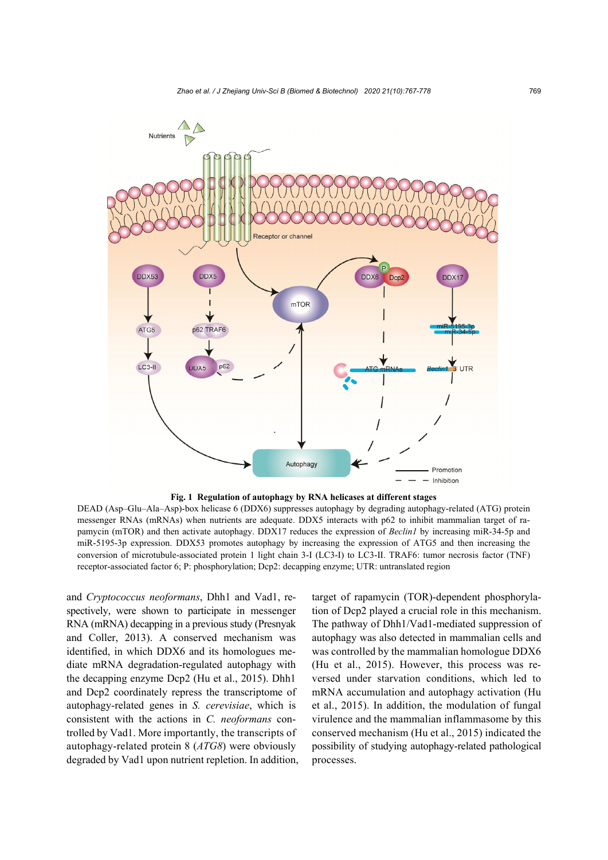



DEAD (Asp–Glu–Ala–Asp)-box helicase 6 (DDX6) suppresses autophagy by degrading autophagy-related (ATG) protein messenger RNAs (mRNAs) when nutrients are adequate. DDX5 interacts with p62 to inhibit mammalian target of rapamycin (mTOR) and then activate autophagy. DDX17 reduces the expression of *Beclin1* by increasing miR-34-5p and miR-5195-3p expression. DDX53 promotes autophagy by increasing the expression of ATG5 and then increasing the conversion of microtubule-associated protein 1 light chain 3-I (LC3-I) to LC3-II. TRAF6: tumor necrosis factor (TNF) receptor-associated factor 6; P: phosphorylation; Dcp2: decapping enzyme; UTR: untranslated region

and *Cryptococcus neoformans*, Dhh1 and Vad1, respectively, were shown to participate in messenger RNA (mRNA) decapping in a previous study (Presnyak and Coller, 2013). A conserved mechanism was identified, in which DDX6 and its homologues mediate mRNA degradation-regulated autophagy with the decapping enzyme Dcp2 (Hu et al., 2015). Dhh1 and Dcp2 coordinately repress the transcriptome of autophagy-related genes in *S. cerevisiae*, which is consistent with the actions in *C. neoformans* controlled by Vad1. More importantly, the transcripts of autophagy-related protein 8 (*ATG8*) were obviously degraded by Vad1 upon nutrient repletion. In addition, target of rapamycin (TOR)-dependent phosphorylation of Dcp2 played a crucial role in this mechanism. The pathway of Dhh1/Vad1-mediated suppression of autophagy was also detected in mammalian cells and was controlled by the mammalian homologue DDX6 (Hu et al., 2015). However, this process was reversed under starvation conditions, which led to mRNA accumulation and autophagy activation (Hu et al., 2015). In addition, the modulation of fungal virulence and the mammalian inflammasome by this conserved mechanism (Hu et al., 2015) indicated the possibility of studying autophagy-related pathological processes.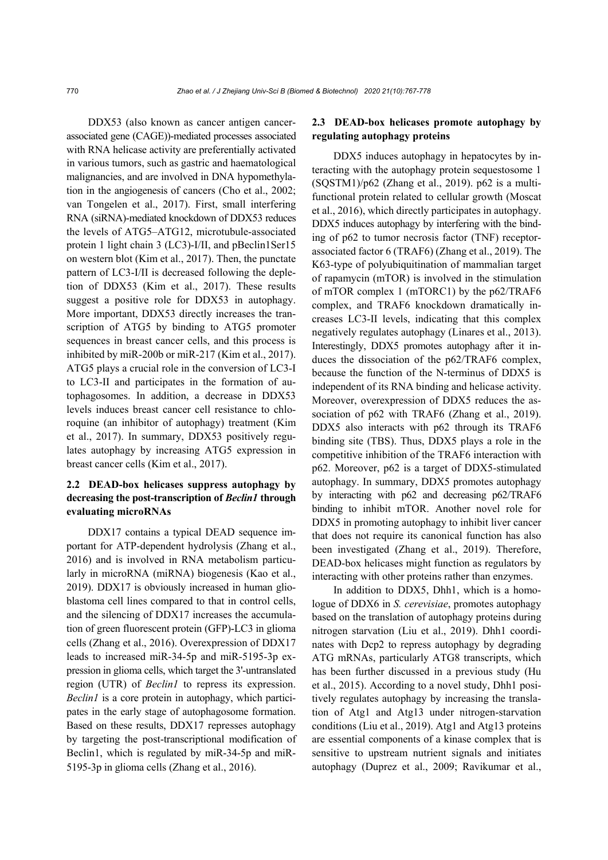DDX53 (also known as cancer antigen cancerassociated gene (CAGE))-mediated processes associated with RNA helicase activity are preferentially activated in various tumors, such as gastric and haematological malignancies, and are involved in DNA hypomethylation in the angiogenesis of cancers (Cho et al., 2002; van Tongelen et al., 2017). First, small interfering RNA (siRNA)-mediated knockdown of DDX53 reduces the levels of ATG5–ATG12, microtubule-associated protein 1 light chain 3 (LC3)-I/II, and pBeclin1Ser15 on western blot (Kim et al., 2017). Then, the punctate pattern of LC3-I/II is decreased following the depletion of DDX53 (Kim et al., 2017). These results suggest a positive role for DDX53 in autophagy. More important, DDX53 directly increases the transcription of ATG5 by binding to ATG5 promoter sequences in breast cancer cells, and this process is inhibited by miR-200b or miR-217 (Kim et al., 2017). ATG5 plays a crucial role in the conversion of LC3-I to LC3-II and participates in the formation of autophagosomes. In addition, a decrease in DDX53 levels induces breast cancer cell resistance to chloroquine (an inhibitor of autophagy) treatment (Kim et al., 2017). In summary, DDX53 positively regulates autophagy by increasing ATG5 expression in breast cancer cells (Kim et al., 2017).

## **2.2 DEAD-box helicases suppress autophagy by decreasing the post-transcription of** *Beclin1* **through evaluating microRNAs**

DDX17 contains a typical DEAD sequence important for ATP-dependent hydrolysis (Zhang et al., 2016) and is involved in RNA metabolism particularly in microRNA (miRNA) biogenesis (Kao et al., 2019). DDX17 is obviously increased in human glioblastoma cell lines compared to that in control cells, and the silencing of DDX17 increases the accumulation of green fluorescent protein (GFP)-LC3 in glioma cells (Zhang et al., 2016). Overexpression of DDX17 leads to increased miR-34-5p and miR-5195-3p expression in glioma cells, which target the 3'-untranslated region (UTR) of *Beclin1* to repress its expression. *Beclin1* is a core protein in autophagy, which participates in the early stage of autophagosome formation. Based on these results, DDX17 represses autophagy by targeting the post-transcriptional modification of Beclin1, which is regulated by miR-34-5p and miR-5195-3p in glioma cells (Zhang et al., 2016).

## **2.3 DEAD-box helicases promote autophagy by regulating autophagy proteins**

DDX5 induces autophagy in hepatocytes by interacting with the autophagy protein sequestosome 1  $(SQSTM1)/p62$  (Zhang et al., 2019). p62 is a multifunctional protein related to cellular growth (Moscat et al., 2016), which directly participates in autophagy. DDX5 induces autophagy by interfering with the binding of p62 to tumor necrosis factor (TNF) receptorassociated factor 6 (TRAF6) (Zhang et al., 2019). The K63-type of polyubiquitination of mammalian target of rapamycin (mTOR) is involved in the stimulation of mTOR complex 1 (mTORC1) by the p62/TRAF6 complex, and TRAF6 knockdown dramatically increases LC3-II levels, indicating that this complex negatively regulates autophagy (Linares et al., 2013). Interestingly, DDX5 promotes autophagy after it induces the dissociation of the p62/TRAF6 complex, because the function of the N-terminus of DDX5 is independent of its RNA binding and helicase activity. Moreover, overexpression of DDX5 reduces the association of p62 with TRAF6 (Zhang et al., 2019). DDX5 also interacts with p62 through its TRAF6 binding site (TBS). Thus, DDX5 plays a role in the competitive inhibition of the TRAF6 interaction with p62. Moreover, p62 is a target of DDX5-stimulated autophagy. In summary, DDX5 promotes autophagy by interacting with p62 and decreasing p62/TRAF6 binding to inhibit mTOR. Another novel role for DDX5 in promoting autophagy to inhibit liver cancer that does not require its canonical function has also been investigated (Zhang et al., 2019). Therefore, DEAD-box helicases might function as regulators by interacting with other proteins rather than enzymes.

In addition to DDX5, Dhh1, which is a homologue of DDX6 in *S. cerevisiae*, promotes autophagy based on the translation of autophagy proteins during nitrogen starvation (Liu et al., 2019). Dhh1 coordinates with Dcp2 to repress autophagy by degrading ATG mRNAs, particularly ATG8 transcripts, which has been further discussed in a previous study (Hu et al., 2015). According to a novel study, Dhh1 positively regulates autophagy by increasing the translation of Atg1 and Atg13 under nitrogen-starvation conditions (Liu et al., 2019). Atg1 and Atg13 proteins are essential components of a kinase complex that is sensitive to upstream nutrient signals and initiates autophagy (Duprez et al., 2009; Ravikumar et al.,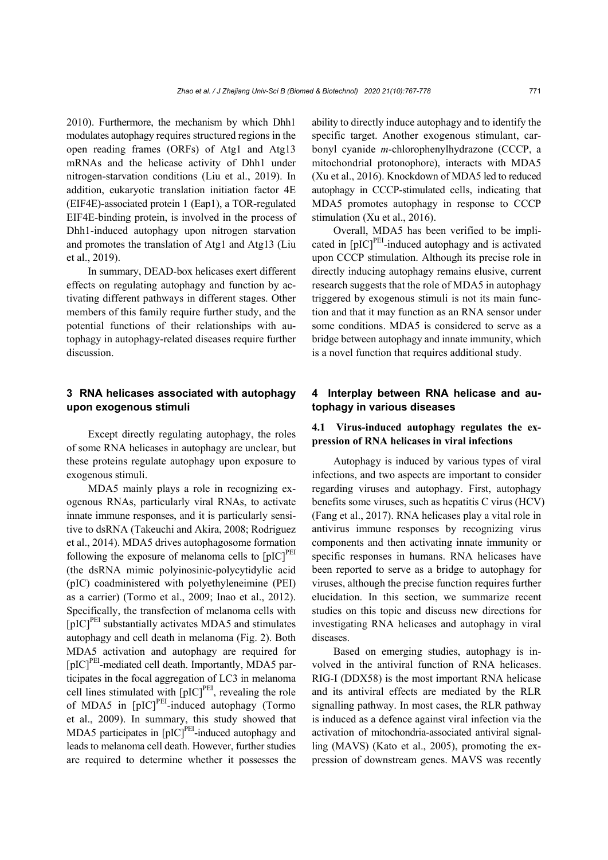2010). Furthermore, the mechanism by which Dhh1 modulates autophagy requires structured regions in the open reading frames (ORFs) of Atg1 and Atg13 mRNAs and the helicase activity of Dhh1 under nitrogen-starvation conditions (Liu et al., 2019). In addition, eukaryotic translation initiation factor 4E (EIF4E)-associated protein 1 (Eap1), a TOR-regulated EIF4E-binding protein, is involved in the process of Dhh1-induced autophagy upon nitrogen starvation and promotes the translation of Atg1 and Atg13 (Liu et al., 2019).

In summary, DEAD-box helicases exert different effects on regulating autophagy and function by activating different pathways in different stages. Other members of this family require further study, and the potential functions of their relationships with autophagy in autophagy-related diseases require further discussion.

## **3 RNA helicases associated with autophagy upon exogenous stimuli**

Except directly regulating autophagy, the roles of some RNA helicases in autophagy are unclear, but these proteins regulate autophagy upon exposure to exogenous stimuli.

MDA5 mainly plays a role in recognizing exogenous RNAs, particularly viral RNAs, to activate innate immune responses, and it is particularly sensitive to dsRNA (Takeuchi and Akira, 2008; Rodriguez et al., 2014). MDA5 drives autophagosome formation following the exposure of melanoma cells to  $[pIC]^{PEI}$ (the dsRNA mimic polyinosinic-polycytidylic acid (pIC) coadministered with polyethyleneimine (PEI) as a carrier) (Tormo et al., 2009; Inao et al., 2012). Specifically, the transfection of melanoma cells with [pIC]<sup>PEI</sup> substantially activates MDA5 and stimulates autophagy and cell death in melanoma (Fig. 2). Both MDA5 activation and autophagy are required for [pIC]<sup>PEI</sup>-mediated cell death. Importantly, MDA5 participates in the focal aggregation of LC3 in melanoma cell lines stimulated with  $[pIC]^{PEI}$ , revealing the role of MDA5 in  $[pIC]^{PEI}$ -induced autophagy (Tormo et al., 2009). In summary, this study showed that MDA5 participates in  $[pIC]^{PEI}$ -induced autophagy and leads to melanoma cell death. However, further studies are required to determine whether it possesses the

ability to directly induce autophagy and to identify the specific target. Another exogenous stimulant, carbonyl cyanide *m*-chlorophenylhydrazone (CCCP, a mitochondrial protonophore), interacts with MDA5 (Xu et al., 2016). Knockdown of MDA5 led to reduced autophagy in CCCP-stimulated cells, indicating that MDA5 promotes autophagy in response to CCCP stimulation (Xu et al., 2016).

Overall, MDA5 has been verified to be implicated in  $[pIC]^{PEI}$ -induced autophagy and is activated upon CCCP stimulation. Although its precise role in directly inducing autophagy remains elusive, current research suggests that the role of MDA5 in autophagy triggered by exogenous stimuli is not its main function and that it may function as an RNA sensor under some conditions. MDA5 is considered to serve as a bridge between autophagy and innate immunity, which is a novel function that requires additional study.

## **4 Interplay between RNA helicase and autophagy in various diseases**

#### **4.1 Virus-induced autophagy regulates the expression of RNA helicases in viral infections**

Autophagy is induced by various types of viral infections, and two aspects are important to consider regarding viruses and autophagy. First, autophagy benefits some viruses, such as hepatitis C virus (HCV) (Fang et al., 2017). RNA helicases play a vital role in antivirus immune responses by recognizing virus components and then activating innate immunity or specific responses in humans. RNA helicases have been reported to serve as a bridge to autophagy for viruses, although the precise function requires further elucidation. In this section, we summarize recent studies on this topic and discuss new directions for investigating RNA helicases and autophagy in viral diseases.

Based on emerging studies, autophagy is involved in the antiviral function of RNA helicases. RIG-I (DDX58) is the most important RNA helicase and its antiviral effects are mediated by the RLR signalling pathway. In most cases, the RLR pathway is induced as a defence against viral infection via the activation of mitochondria-associated antiviral signalling (MAVS) (Kato et al., 2005), promoting the expression of downstream genes. MAVS was recently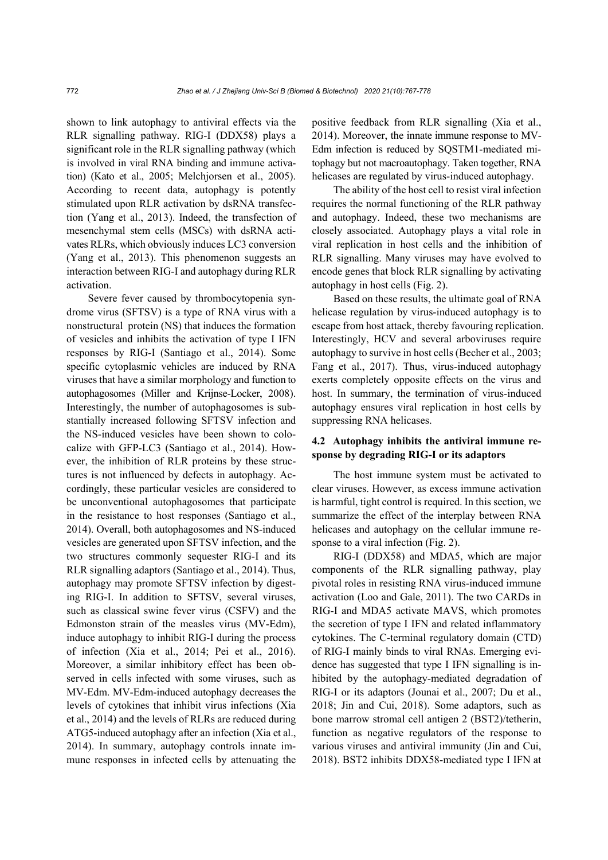shown to link autophagy to antiviral effects via the RLR signalling pathway. RIG-I (DDX58) plays a significant role in the RLR signalling pathway (which is involved in viral RNA binding and immune activation) (Kato et al., 2005; Melchjorsen et al., 2005). According to recent data, autophagy is potently stimulated upon RLR activation by dsRNA transfection (Yang et al., 2013). Indeed, the transfection of mesenchymal stem cells (MSCs) with dsRNA activates RLRs, which obviously induces LC3 conversion (Yang et al., 2013). This phenomenon suggests an interaction between RIG-I and autophagy during RLR activation.

Severe fever caused by thrombocytopenia syndrome virus (SFTSV) is a type of RNA virus with a nonstructural protein (NS) that induces the formation of vesicles and inhibits the activation of type I IFN responses by RIG-I (Santiago et al., 2014). Some specific cytoplasmic vehicles are induced by RNA viruses that have a similar morphology and function to autophagosomes (Miller and Krijnse-Locker, 2008). Interestingly, the number of autophagosomes is substantially increased following SFTSV infection and the NS-induced vesicles have been shown to colocalize with GFP-LC3 (Santiago et al., 2014). However, the inhibition of RLR proteins by these structures is not influenced by defects in autophagy. Accordingly, these particular vesicles are considered to be unconventional autophagosomes that participate in the resistance to host responses (Santiago et al., 2014). Overall, both autophagosomes and NS-induced vesicles are generated upon SFTSV infection, and the two structures commonly sequester RIG-I and its RLR signalling adaptors (Santiago et al., 2014). Thus, autophagy may promote SFTSV infection by digesting RIG-I. In addition to SFTSV, several viruses, such as classical swine fever virus (CSFV) and the Edmonston strain of the measles virus (MV-Edm), induce autophagy to inhibit RIG-I during the process of infection (Xia et al., 2014; Pei et al., 2016). Moreover, a similar inhibitory effect has been observed in cells infected with some viruses, such as MV-Edm. MV-Edm-induced autophagy decreases the levels of cytokines that inhibit virus infections (Xia et al., 2014) and the levels of RLRs are reduced during ATG5-induced autophagy after an infection (Xia et al., 2014). In summary, autophagy controls innate immune responses in infected cells by attenuating the

positive feedback from RLR signalling (Xia et al., 2014). Moreover, the innate immune response to MV-Edm infection is reduced by SQSTM1-mediated mitophagy but not macroautophagy. Taken together, RNA helicases are regulated by virus-induced autophagy.

The ability of the host cell to resist viral infection requires the normal functioning of the RLR pathway and autophagy. Indeed, these two mechanisms are closely associated. Autophagy plays a vital role in viral replication in host cells and the inhibition of RLR signalling. Many viruses may have evolved to encode genes that block RLR signalling by activating autophagy in host cells (Fig. 2).

Based on these results, the ultimate goal of RNA helicase regulation by virus-induced autophagy is to escape from host attack, thereby favouring replication. Interestingly, HCV and several arboviruses require autophagy to survive in host cells (Becher et al., 2003; Fang et al., 2017). Thus, virus-induced autophagy exerts completely opposite effects on the virus and host. In summary, the termination of virus-induced autophagy ensures viral replication in host cells by suppressing RNA helicases.

## **4.2 Autophagy inhibits the antiviral immune response by degrading RIG-I or its adaptors**

The host immune system must be activated to clear viruses. However, as excess immune activation is harmful, tight control is required. In this section, we summarize the effect of the interplay between RNA helicases and autophagy on the cellular immune response to a viral infection (Fig. 2).

RIG-I (DDX58) and MDA5, which are major components of the RLR signalling pathway, play pivotal roles in resisting RNA virus-induced immune activation (Loo and Gale, 2011). The two CARDs in RIG-I and MDA5 activate MAVS, which promotes the secretion of type I IFN and related inflammatory cytokines. The C-terminal regulatory domain (CTD) of RIG-I mainly binds to viral RNAs. Emerging evidence has suggested that type I IFN signalling is inhibited by the autophagy-mediated degradation of RIG-I or its adaptors (Jounai et al., 2007; Du et al., 2018; Jin and Cui, 2018). Some adaptors, such as bone marrow stromal cell antigen 2 (BST2)/tetherin, function as negative regulators of the response to various viruses and antiviral immunity (Jin and Cui, 2018). BST2 inhibits DDX58-mediated type I IFN at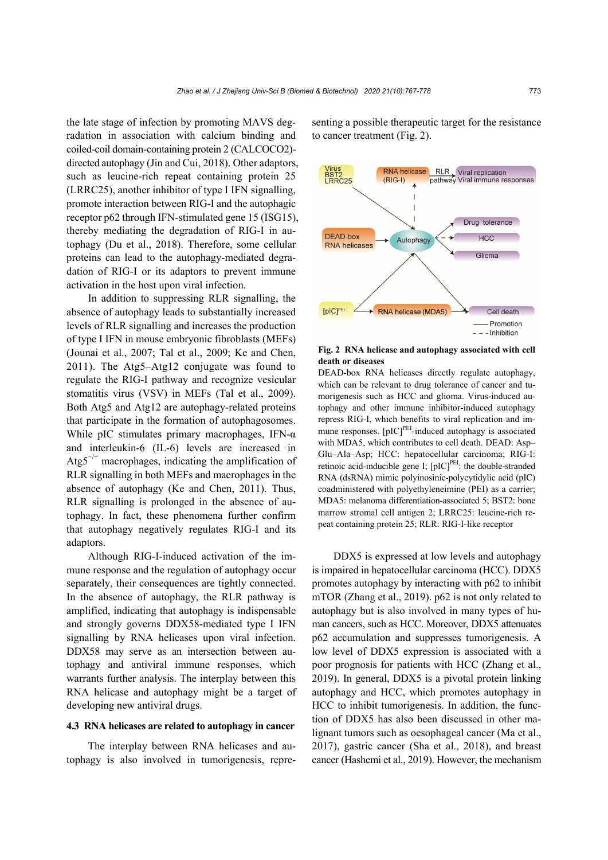the late stage of infection by promoting MAVS degradation in association with calcium binding and coiled-coil domain-containing protein 2 (CALCOCO2) directed autophagy (Jin and Cui, 2018). Other adaptors, such as leucine-rich repeat containing protein 25 (LRRC25), another inhibitor of type I IFN signalling, promote interaction between RIG-I and the autophagic receptor p62 through IFN-stimulated gene 15 (ISG15), thereby mediating the degradation of RIG-I in autophagy (Du et al., 2018). Therefore, some cellular proteins can lead to the autophagy-mediated degradation of RIG-I or its adaptors to prevent immune activation in the host upon viral infection.

In addition to suppressing RLR signalling, the absence of autophagy leads to substantially increased levels of RLR signalling and increases the production of type I IFN in mouse embryonic fibroblasts (MEFs) (Jounai et al., 2007; Tal et al., 2009; Ke and Chen, 2011). The Atg5–Atg12 conjugate was found to regulate the RIG-I pathway and recognize vesicular stomatitis virus (VSV) in MEFs (Tal et al., 2009). Both Atg5 and Atg12 are autophagy-related proteins that participate in the formation of autophagosomes. While pIC stimulates primary macrophages, IFN- $\alpha$ and interleukin-6 (IL-6) levels are increased in Atg5<sup> $-/-$ </sup> macrophages, indicating the amplification of RLR signalling in both MEFs and macrophages in the absence of autophagy (Ke and Chen, 2011). Thus, RLR signalling is prolonged in the absence of autophagy. In fact, these phenomena further confirm that autophagy negatively regulates RIG-I and its adaptors.

Although RIG-I-induced activation of the immune response and the regulation of autophagy occur separately, their consequences are tightly connected. In the absence of autophagy, the RLR pathway is amplified, indicating that autophagy is indispensable and strongly governs DDX58-mediated type I IFN signalling by RNA helicases upon viral infection. DDX58 may serve as an intersection between autophagy and antiviral immune responses, which warrants further analysis. The interplay between this RNA helicase and autophagy might be a target of developing new antiviral drugs.

#### **4.3 RNA helicases are related to autophagy in cancer**

The interplay between RNA helicases and autophagy is also involved in tumorigenesis, representing a possible therapeutic target for the resistance to cancer treatment (Fig. 2).



#### **Fig. 2 RNA helicase and autophagy associated with cell death or diseases**

DEAD-box RNA helicases directly regulate autophagy, which can be relevant to drug tolerance of cancer and tumorigenesis such as HCC and glioma. Virus-induced autophagy and other immune inhibitor-induced autophagy repress RIG-I, which benefits to viral replication and immune responses.  $[pIC]^{PEI}$ -induced autophagy is associated with MDA5, which contributes to cell death. DEAD: Asp– Glu–Ala–Asp; HCC: hepatocellular carcinoma; RIG-I: retinoic acid-inducible gene I;  $[pIC]^{PEI}$ : the double-stranded RNA (dsRNA) mimic polyinosinic-polycytidylic acid (pIC) coadministered with polyethyleneimine (PEI) as a carrier; MDA5: melanoma differentiation-associated 5; BST2: bone marrow stromal cell antigen 2; LRRC25: leucine-rich repeat containing protein 25; RLR: RIG-I-like receptor

DDX5 is expressed at low levels and autophagy is impaired in hepatocellular carcinoma (HCC). DDX5 promotes autophagy by interacting with p62 to inhibit mTOR (Zhang et al., 2019). p62 is not only related to autophagy but is also involved in many types of human cancers, such as HCC. Moreover, DDX5 attenuates p62 accumulation and suppresses tumorigenesis. A low level of DDX5 expression is associated with a poor prognosis for patients with HCC (Zhang et al., 2019). In general, DDX5 is a pivotal protein linking autophagy and HCC, which promotes autophagy in HCC to inhibit tumorigenesis. In addition, the function of DDX5 has also been discussed in other malignant tumors such as oesophageal cancer (Ma et al., 2017), gastric cancer (Sha et al., 2018), and breast cancer (Hashemi et al., 2019). However, the mechanism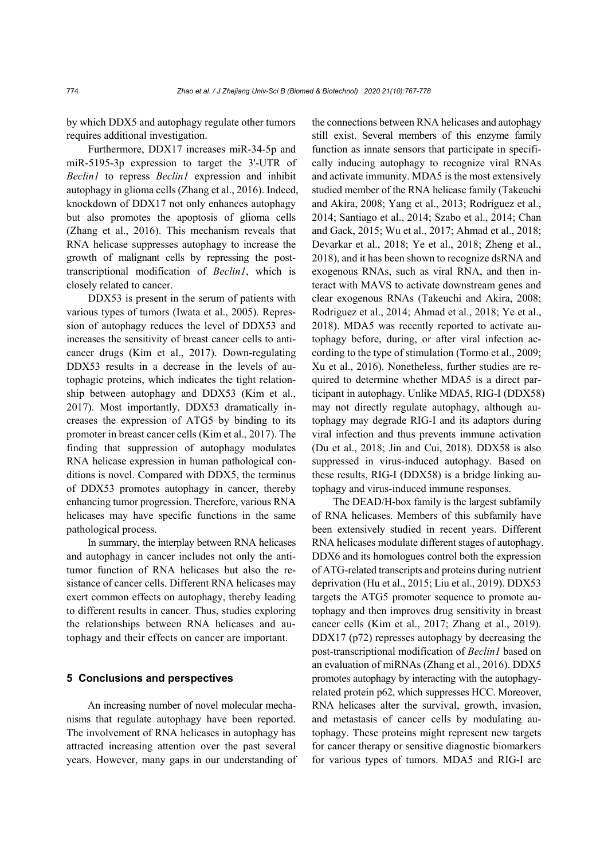by which DDX5 and autophagy regulate other tumors requires additional investigation.

Furthermore, DDX17 increases miR-34-5p and miR-5195-3p expression to target the 3'-UTR of *Beclin1* to repress *Beclin1* expression and inhibit autophagy in glioma cells (Zhang et al., 2016). Indeed, knockdown of DDX17 not only enhances autophagy but also promotes the apoptosis of glioma cells (Zhang et al., 2016). This mechanism reveals that RNA helicase suppresses autophagy to increase the growth of malignant cells by repressing the posttranscriptional modification of *Beclin1*, which is closely related to cancer.

DDX53 is present in the serum of patients with various types of tumors (Iwata et al., 2005). Repression of autophagy reduces the level of DDX53 and increases the sensitivity of breast cancer cells to anticancer drugs (Kim et al., 2017). Down-regulating DDX53 results in a decrease in the levels of autophagic proteins, which indicates the tight relationship between autophagy and DDX53 (Kim et al., 2017). Most importantly, DDX53 dramatically increases the expression of ATG5 by binding to its promoter in breast cancer cells (Kim et al., 2017). The finding that suppression of autophagy modulates RNA helicase expression in human pathological conditions is novel. Compared with DDX5, the terminus of DDX53 promotes autophagy in cancer, thereby enhancing tumor progression. Therefore, various RNA helicases may have specific functions in the same pathological process.

In summary, the interplay between RNA helicases and autophagy in cancer includes not only the antitumor function of RNA helicases but also the resistance of cancer cells. Different RNA helicases may exert common effects on autophagy, thereby leading to different results in cancer. Thus, studies exploring the relationships between RNA helicases and autophagy and their effects on cancer are important.

### **5 Conclusions and perspectives**

An increasing number of novel molecular mechanisms that regulate autophagy have been reported. The involvement of RNA helicases in autophagy has attracted increasing attention over the past several years. However, many gaps in our understanding of the connections between RNA helicases and autophagy still exist. Several members of this enzyme family function as innate sensors that participate in specifically inducing autophagy to recognize viral RNAs and activate immunity. MDA5 is the most extensively studied member of the RNA helicase family (Takeuchi and Akira, 2008; Yang et al., 2013; Rodriguez et al., 2014; Santiago et al., 2014; Szabo et al., 2014; Chan and Gack, 2015; Wu et al., 2017; Ahmad et al., 2018; Devarkar et al., 2018; Ye et al., 2018; Zheng et al., 2018), and it has been shown to recognize dsRNA and exogenous RNAs, such as viral RNA, and then interact with MAVS to activate downstream genes and clear exogenous RNAs (Takeuchi and Akira, 2008; Rodriguez et al., 2014; Ahmad et al., 2018; Ye et al., 2018). MDA5 was recently reported to activate autophagy before, during, or after viral infection according to the type of stimulation (Tormo et al., 2009; Xu et al., 2016). Nonetheless, further studies are required to determine whether MDA5 is a direct participant in autophagy. Unlike MDA5, RIG-I (DDX58) may not directly regulate autophagy, although autophagy may degrade RIG-I and its adaptors during viral infection and thus prevents immune activation (Du et al., 2018; Jin and Cui, 2018). DDX58 is also suppressed in virus-induced autophagy. Based on these results, RIG-I (DDX58) is a bridge linking autophagy and virus-induced immune responses.

The DEAD/H-box family is the largest subfamily of RNA helicases. Members of this subfamily have been extensively studied in recent years. Different RNA helicases modulate different stages of autophagy. DDX6 and its homologues control both the expression of ATG-related transcripts and proteins during nutrient deprivation (Hu et al., 2015; Liu et al., 2019). DDX53 targets the ATG5 promoter sequence to promote autophagy and then improves drug sensitivity in breast cancer cells (Kim et al., 2017; Zhang et al., 2019). DDX17 (p72) represses autophagy by decreasing the post-transcriptional modification of *Beclin1* based on an evaluation of miRNAs (Zhang et al., 2016). DDX5 promotes autophagy by interacting with the autophagyrelated protein p62, which suppresses HCC. Moreover, RNA helicases alter the survival, growth, invasion, and metastasis of cancer cells by modulating autophagy. These proteins might represent new targets for cancer therapy or sensitive diagnostic biomarkers for various types of tumors. MDA5 and RIG-I are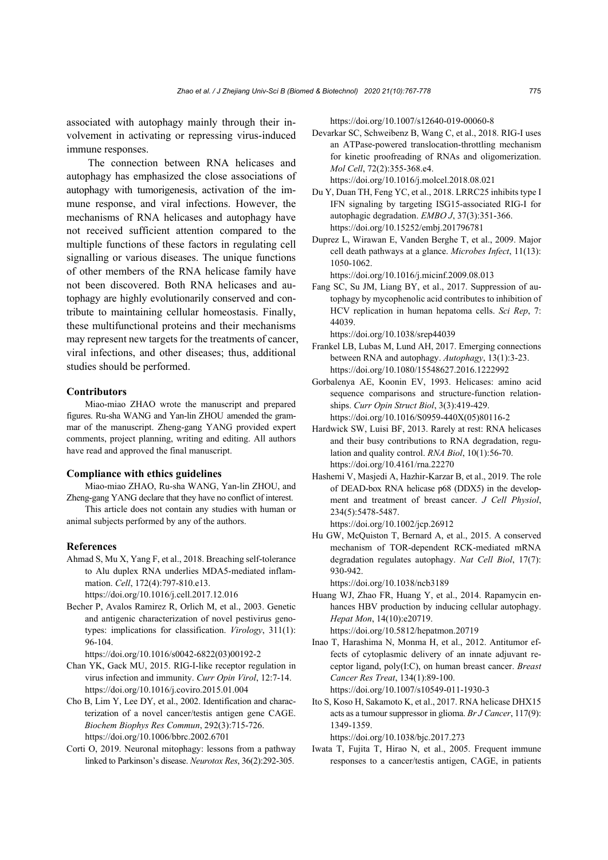associated with autophagy mainly through their involvement in activating or repressing virus-induced immune responses.

The connection between RNA helicases and autophagy has emphasized the close associations of autophagy with tumorigenesis, activation of the immune response, and viral infections. However, the mechanisms of RNA helicases and autophagy have not received sufficient attention compared to the multiple functions of these factors in regulating cell signalling or various diseases. The unique functions of other members of the RNA helicase family have not been discovered. Both RNA helicases and autophagy are highly evolutionarily conserved and contribute to maintaining cellular homeostasis. Finally, these multifunctional proteins and their mechanisms may represent new targets for the treatments of cancer, viral infections, and other diseases; thus, additional studies should be performed.

#### **Contributors**

Miao-miao ZHAO wrote the manuscript and prepared figures. Ru-sha WANG and Yan-lin ZHOU amended the grammar of the manuscript. Zheng-gang YANG provided expert comments, project planning, writing and editing. All authors have read and approved the final manuscript.

#### **Compliance with ethics guidelines**

Miao-miao ZHAO, Ru-sha WANG, Yan-lin ZHOU, and Zheng-gang YANG declare that they have no conflict of interest.

This article does not contain any studies with human or animal subjects performed by any of the authors.

#### **References**

Ahmad S, Mu X, Yang F, et al., 2018. Breaching self-tolerance to Alu duplex RNA underlies MDA5-mediated inflammation. *Cell*, 172(4):797-810.e13.

https://doi.org/10.1016/j.cell.2017.12.016

Becher P, Avalos Ramirez R, Orlich M, et al., 2003. Genetic and antigenic characterization of novel pestivirus genotypes: implications for classification. *Virology*, 311(1): 96-104.

https://doi.org/10.1016/s0042-6822(03)00192-2

- Chan YK, Gack MU, 2015. RIG-I-like receptor regulation in virus infection and immunity. *Curr Opin Virol*, 12:7-14. https://doi.org/10.1016/j.coviro.2015.01.004
- Cho B, Lim Y, Lee DY, et al., 2002. Identification and characterization of a novel cancer/testis antigen gene CAGE. *Biochem Biophys Res Commun*, 292(3):715-726. https://doi.org/10.1006/bbrc.2002.6701
- Corti O, 2019. Neuronal mitophagy: lessons from a pathway linked to Parkinson's disease. *Neurotox Res*, 36(2):292-305.

https://doi.org/10.1007/s12640-019-00060-8

- Devarkar SC, Schweibenz B, Wang C, et al., 2018. RIG-I uses an ATPase-powered translocation-throttling mechanism for kinetic proofreading of RNAs and oligomerization. *Mol Cell*, 72(2):355-368.e4. https://doi.org/10.1016/j.molcel.2018.08.021
- Du Y, Duan TH, Feng YC, et al., 2018. LRRC25 inhibits type I IFN signaling by targeting ISG15-associated RIG-I for
	- autophagic degradation. *EMBO J*, 37(3):351-366. https://doi.org/10.15252/embj.201796781
- Duprez L, Wirawan E, Vanden Berghe T, et al., 2009. Major cell death pathways at a glance. *Microbes Infect*, 11(13): 1050-1062.

https://doi.org/10.1016/j.micinf.2009.08.013

Fang SC, Su JM, Liang BY, et al., 2017. Suppression of autophagy by mycophenolic acid contributes to inhibition of HCV replication in human hepatoma cells. *Sci Rep*, 7: 44039.

https://doi.org/10.1038/srep44039

- Frankel LB, Lubas M, Lund AH, 2017. Emerging connections between RNA and autophagy. *Autophagy*, 13(1):3-23. https://doi.org/10.1080/15548627.2016.1222992
- Gorbalenya AE, Koonin EV, 1993. Helicases: amino acid sequence comparisons and structure-function relationships. *Curr Opin Struct Biol*, 3(3):419-429. https://doi.org/10.1016/S0959-440X(05)80116-2
- Hardwick SW, Luisi BF, 2013. Rarely at rest: RNA helicases and their busy contributions to RNA degradation, regulation and quality control. *RNA Biol*, 10(1):56-70. https://doi.org/10.4161/rna.22270
- Hashemi V, Masjedi A, Hazhir-Karzar B, et al., 2019. The role of DEAD-box RNA helicase p68 (DDX5) in the development and treatment of breast cancer. *J Cell Physiol*, 234(5):5478-5487. https://doi.org/10.1002/jcp.26912
- Hu GW, McQuiston T, Bernard A, et al., 2015. A conserved mechanism of TOR-dependent RCK-mediated mRNA degradation regulates autophagy. *Nat Cell Biol*, 17(7): 930-942.

https://doi.org/10.1038/ncb3189

- Huang WJ, Zhao FR, Huang Y, et al., 2014. Rapamycin enhances HBV production by inducing cellular autophagy. *Hepat Mon*, 14(10):e20719. https://doi.org/10.5812/hepatmon.20719
- Inao T, Harashima N, Monma H, et al., 2012. Antitumor effects of cytoplasmic delivery of an innate adjuvant receptor ligand, poly(I:C), on human breast cancer. *Breast Cancer Res Treat*, 134(1):89-100. https://doi.org/10.1007/s10549-011-1930-3
- Ito S, Koso H, Sakamoto K, et al., 2017. RNA helicase DHX15 acts as a tumour suppressor in glioma. *Br J Cancer*, 117(9): 1349-1359.

https://doi.org/10.1038/bjc.2017.273

Iwata T, Fujita T, Hirao N, et al., 2005. Frequent immune responses to a cancer/testis antigen, CAGE, in patients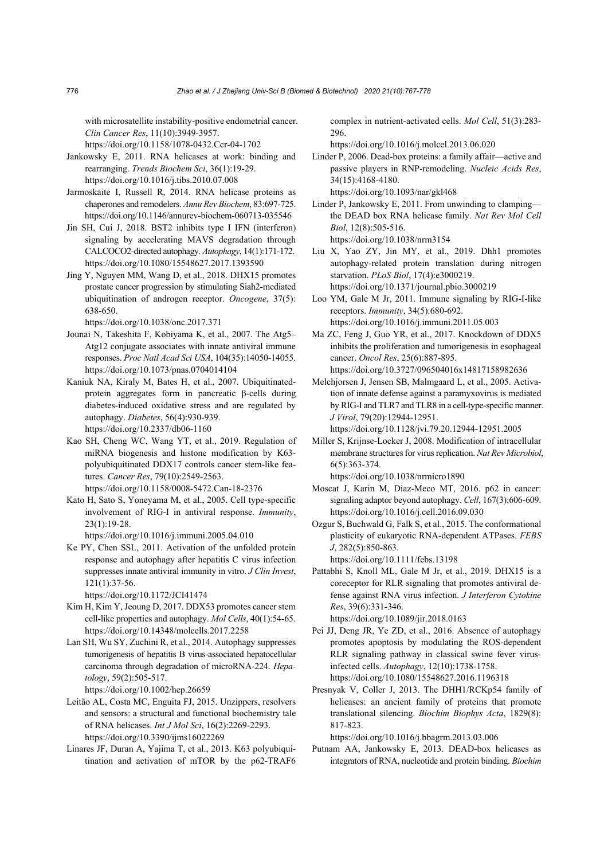with microsatellite instability-positive endometrial cancer. *Clin Cancer Res*, 11(10):3949-3957.

https://doi.org/10.1158/1078-0432.Ccr-04-1702

- Jankowsky E, 2011. RNA helicases at work: binding and rearranging. *Trends Biochem Sci*, 36(1):19-29. https://doi.org/10.1016/j.tibs.2010.07.008
- Jarmoskaite I, Russell R, 2014. RNA helicase proteins as chaperones and remodelers. *Annu Rev Biochem*, 83:697-725. https://doi.org/10.1146/annurev-biochem-060713-035546
- Jin SH, Cui J, 2018. BST2 inhibits type I IFN (interferon) signaling by accelerating MAVS degradation through CALCOCO2-directed autophagy. *Autophagy*, 14(1):171-172. https://doi.org/10.1080/15548627.2017.1393590
- Jing Y, Nguyen MM, Wang D, et al., 2018. DHX15 promotes prostate cancer progression by stimulating Siah2-mediated ubiquitination of androgen receptor. *Oncogene*, 37(5): 638-650.

https://doi.org/10.1038/onc.2017.371

- Jounai N, Takeshita F, Kobiyama K, et al., 2007. The Atg5– Atg12 conjugate associates with innate antiviral immune responses. *Proc Natl Acad Sci USA*, 104(35):14050-14055. https://doi.org/10.1073/pnas.0704014104
- Kaniuk NA, Kiraly M, Bates H, et al., 2007. Ubiquitinatedprotein aggregates form in pancreatic β-cells during diabetes-induced oxidative stress and are regulated by autophagy. *Diabetes*, 56(4):930-939. https://doi.org/10.2337/db06-1160
- Kao SH, Cheng WC, Wang YT, et al., 2019. Regulation of miRNA biogenesis and histone modification by K63 polyubiquitinated DDX17 controls cancer stem-like features. *Cancer Res*, 79(10):2549-2563. https://doi.org/10.1158/0008-5472.Can-18-2376
- Kato H, Sato S, Yoneyama M, et al., 2005. Cell type-specific involvement of RIG-I in antiviral response. *Immunity*, 23(1):19-28.

https://doi.org/10.1016/j.immuni.2005.04.010

Ke PY, Chen SSL, 2011. Activation of the unfolded protein response and autophagy after hepatitis C virus infection suppresses innate antiviral immunity in vitro. *J Clin Invest*, 121(1):37-56.

https://doi.org/10.1172/JCI41474

- Kim H, Kim Y, Jeoung D, 2017. DDX53 promotes cancer stem cell-like properties and autophagy. *Mol Cells*, 40(1):54-65. https://doi.org/10.14348/molcells.2017.2258
- Lan SH, Wu SY, Zuchini R, et al., 2014. Autophagy suppresses tumorigenesis of hepatitis B virus-associated hepatocellular carcinoma through degradation of microRNA-224. *Hepatology*, 59(2):505-517.

https://doi.org/10.1002/hep.26659

- Leitão AL, Costa MC, Enguita FJ, 2015. Unzippers, resolvers and sensors: a structural and functional biochemistry tale of RNA helicases. *Int J Mol Sci*, 16(2):2269-2293. https://doi.org/10.3390/ijms16022269
- Linares JF, Duran A, Yajima T, et al., 2013. K63 polyubiquitination and activation of mTOR by the p62-TRAF6

complex in nutrient-activated cells. *Mol Cell*, 51(3):283- 296.

https://doi.org/10.1016/j.molcel.2013.06.020

- Linder P, 2006. Dead-box proteins: a family affair—active and passive players in RNP-remodeling. *Nucleic Acids Res*, 34(15):4168-4180. https://doi.org/10.1093/nar/gkl468
- Linder P, Jankowsky E, 2011. From unwinding to clamping the DEAD box RNA helicase family. *Nat Rev Mol Cell Biol*, 12(8):505-516. https://doi.org/10.1038/nrm3154
- Liu X, Yao ZY, Jin MY, et al., 2019. Dhh1 promotes autophagy-related protein translation during nitrogen starvation. *PLoS Biol*, 17(4):e3000219. https://doi.org/10.1371/journal.pbio.3000219
- Loo YM, Gale M Jr, 2011. Immune signaling by RIG-I-like receptors. *Immunity*, 34(5):680-692. https://doi.org/10.1016/j.immuni.2011.05.003
- Ma ZC, Feng J, Guo YR, et al., 2017. Knockdown of DDX5 inhibits the proliferation and tumorigenesis in esophageal cancer. *Oncol Res*, 25(6):887-895. https://doi.org/10.3727/096504016x14817158982636
- Melchjorsen J, Jensen SB, Malmgaard L, et al., 2005. Activation of innate defense against a paramyxovirus is mediated by RIG-I and TLR7 and TLR8 in a cell-type-specific manner. *J Virol*, 79(20):12944-12951.

https://doi.org/10.1128/jvi.79.20.12944-12951.2005

Miller S, Krijnse-Locker J, 2008. Modification of intracellular membrane structures for virus replication. *Nat Rev Microbiol*, 6(5):363-374.

https://doi.org/10.1038/nrmicro1890

- Moscat J, Karin M, Diaz-Meco MT, 2016. p62 in cancer: signaling adaptor beyond autophagy. *Cell*, 167(3):606-609. https://doi.org/10.1016/j.cell.2016.09.030
- Ozgur S, Buchwald G, Falk S, et al., 2015. The conformational plasticity of eukaryotic RNA-dependent ATPases. *FEBS J*, 282(5):850-863.

https://doi.org/10.1111/febs.13198

Pattabhi S, Knoll ML, Gale M Jr, et al., 2019. DHX15 is a coreceptor for RLR signaling that promotes antiviral defense against RNA virus infection. *J Interferon Cytokine Res*, 39(6):331-346. https://doi.org/10.1089/jir.2018.0163

Pei JJ, Deng JR, Ye ZD, et al., 2016. Absence of autophagy promotes apoptosis by modulating the ROS-dependent RLR signaling pathway in classical swine fever virusinfected cells. *Autophagy*, 12(10):1738-1758.

https://doi.org/10.1080/15548627.2016.1196318

Presnyak V, Coller J, 2013. The DHH1/RCKp54 family of helicases: an ancient family of proteins that promote translational silencing. *Biochim Biophys Acta*, 1829(8): 817-823.

https://doi.org/10.1016/j.bbagrm.2013.03.006

Putnam AA, Jankowsky E, 2013. DEAD-box helicases as integrators of RNA, nucleotide and protein binding. *Biochim*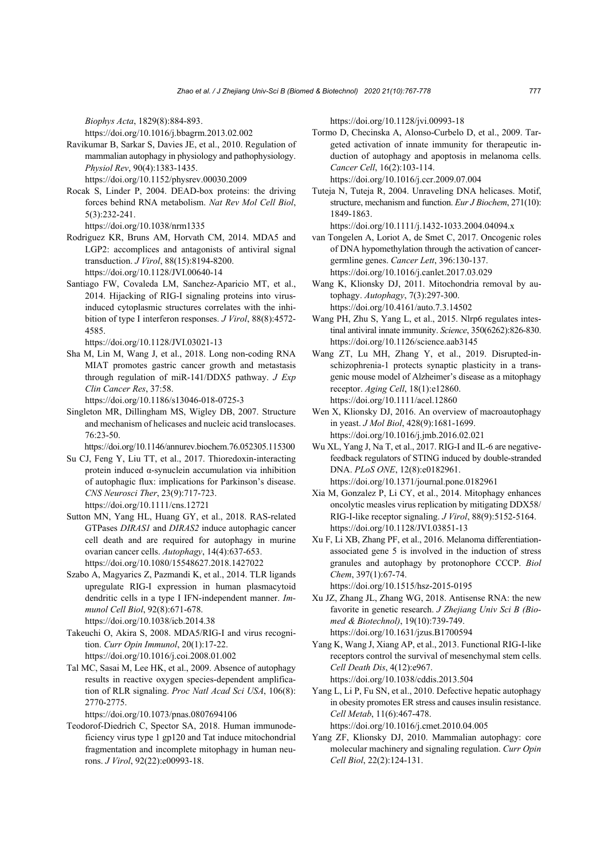*Biophys Acta*, 1829(8):884-893.

https://doi.org/10.1016/j.bbagrm.2013.02.002

Ravikumar B, Sarkar S, Davies JE, et al., 2010. Regulation of mammalian autophagy in physiology and pathophysiology. *Physiol Rev*, 90(4):1383-1435.

https://doi.org/10.1152/physrev.00030.2009

Rocak S, Linder P, 2004. DEAD-box proteins: the driving forces behind RNA metabolism. *Nat Rev Mol Cell Biol*, 5(3):232-241.

https://doi.org/10.1038/nrm1335

- Rodriguez KR, Bruns AM, Horvath CM, 2014. MDA5 and LGP2: accomplices and antagonists of antiviral signal transduction. *J Virol*, 88(15):8194-8200. https://doi.org/10.1128/JVI.00640-14
- Santiago FW, Covaleda LM, Sanchez-Aparicio MT, et al., 2014. Hijacking of RIG-I signaling proteins into virusinduced cytoplasmic structures correlates with the inhibition of type I interferon responses. *J Virol*, 88(8):4572- 4585.

https://doi.org/10.1128/JVI.03021-13

Sha M, Lin M, Wang J, et al., 2018. Long non-coding RNA MIAT promotes gastric cancer growth and metastasis through regulation of miR-141/DDX5 pathway. *J Exp Clin Cancer Res*, 37:58.

https://doi.org/10.1186/s13046-018-0725-3

Singleton MR, Dillingham MS, Wigley DB, 2007. Structure and mechanism of helicases and nucleic acid translocases. 76:23-50.

https://doi.org/10.1146/annurev.biochem.76.052305.115300

- Su CJ, Feng Y, Liu TT, et al., 2017. Thioredoxin-interacting protein induced α-synuclein accumulation via inhibition of autophagic flux: implications for Parkinson's disease. *CNS Neurosci Ther*, 23(9):717-723. https://doi.org/10.1111/cns.12721
- Sutton MN, Yang HL, Huang GY, et al., 2018. RAS-related GTPases *DIRAS1* and *DIRAS2* induce autophagic cancer cell death and are required for autophagy in murine ovarian cancer cells. *Autophagy*, 14(4):637-653. https://doi.org/10.1080/15548627.2018.1427022
- Szabo A, Magyarics Z, Pazmandi K, et al., 2014. TLR ligands upregulate RIG-I expression in human plasmacytoid dendritic cells in a type I IFN-independent manner. *Immunol Cell Biol*, 92(8):671-678. https://doi.org/10.1038/icb.2014.38

Takeuchi O, Akira S, 2008. MDA5/RIG-I and virus recognition. *Curr Opin Immunol*, 20(1):17-22. https://doi.org/10.1016/j.coi.2008.01.002

Tal MC, Sasai M, Lee HK, et al., 2009. Absence of autophagy results in reactive oxygen species-dependent amplification of RLR signaling. *Proc Natl Acad Sci USA*, 106(8): 2770-2775.

https://doi.org/10.1073/pnas.0807694106

Teodorof-Diedrich C, Spector SA, 2018. Human immunodeficiency virus type 1 gp120 and Tat induce mitochondrial fragmentation and incomplete mitophagy in human neurons. *J Virol*, 92(22):e00993-18.

https://doi.org/10.1128/jvi.00993-18

- Tormo D, Checinska A, Alonso-Curbelo D, et al., 2009. Targeted activation of innate immunity for therapeutic induction of autophagy and apoptosis in melanoma cells. *Cancer Cell*, 16(2):103-114. https://doi.org/10.1016/j.ccr.2009.07.004
- Tuteja N, Tuteja R, 2004. Unraveling DNA helicases. Motif, structure, mechanism and function. *Eur J Biochem*, 271(10): 1849-1863.

https://doi.org/10.1111/j.1432-1033.2004.04094.x

- van Tongelen A, Loriot A, de Smet C, 2017. Oncogenic roles of DNA hypomethylation through the activation of cancergermline genes. *Cancer Lett*, 396:130-137. https://doi.org/10.1016/j.canlet.2017.03.029
- Wang K, Klionsky DJ, 2011. Mitochondria removal by autophagy. *Autophagy*, 7(3):297-300. https://doi.org/10.4161/auto.7.3.14502
- Wang PH, Zhu S, Yang L, et al., 2015. Nlrp6 regulates intestinal antiviral innate immunity. *Science*, 350(6262):826-830. https://doi.org/10.1126/science.aab3145
- Wang ZT, Lu MH, Zhang Y, et al., 2019. Disrupted-inschizophrenia-1 protects synaptic plasticity in a transgenic mouse model of Alzheimer's disease as a mitophagy receptor. *Aging Cell*, 18(1):e12860. https://doi.org/10.1111/acel.12860
- Wen X, Klionsky DJ, 2016. An overview of macroautophagy in yeast. *J Mol Biol*, 428(9):1681-1699. https://doi.org/10.1016/j.jmb.2016.02.021

Wu XL, Yang J, Na T, et al., 2017. RIG-I and IL-6 are negativefeedback regulators of STING induced by double-stranded DNA. *PLoS ONE*, 12(8):e0182961. https://doi.org/10.1371/journal.pone.0182961

- Xia M, Gonzalez P, Li CY, et al., 2014. Mitophagy enhances oncolytic measles virus replication by mitigating DDX58/ RIG-I-like receptor signaling. *J Virol*, 88(9):5152-5164. https://doi.org/10.1128/JVI.03851-13
- Xu F, Li XB, Zhang PF, et al., 2016. Melanoma differentiationassociated gene 5 is involved in the induction of stress granules and autophagy by protonophore CCCP. *Biol Chem*, 397(1):67-74.

https://doi.org/10.1515/hsz-2015-0195

Xu JZ, Zhang JL, Zhang WG, 2018. Antisense RNA: the new favorite in genetic research. *J Zhejiang Univ Sci B (Biomed & Biotechnol)*, 19(10):739-749. https://doi.org/10.1631/jzus.B1700594

Yang K, Wang J, Xiang AP, et al., 2013. Functional RIG-I-like receptors control the survival of mesenchymal stem cells. *Cell Death Dis*, 4(12):e967. https://doi.org/10.1038/cddis.2013.504

- Yang L, Li P, Fu SN, et al., 2010. Defective hepatic autophagy in obesity promotes ER stress and causes insulin resistance. *Cell Metab*, 11(6):467-478. https://doi.org/10.1016/j.cmet.2010.04.005
- Yang ZF, Klionsky DJ, 2010. Mammalian autophagy: core molecular machinery and signaling regulation. *Curr Opin Cell Biol*, 22(2):124-131.